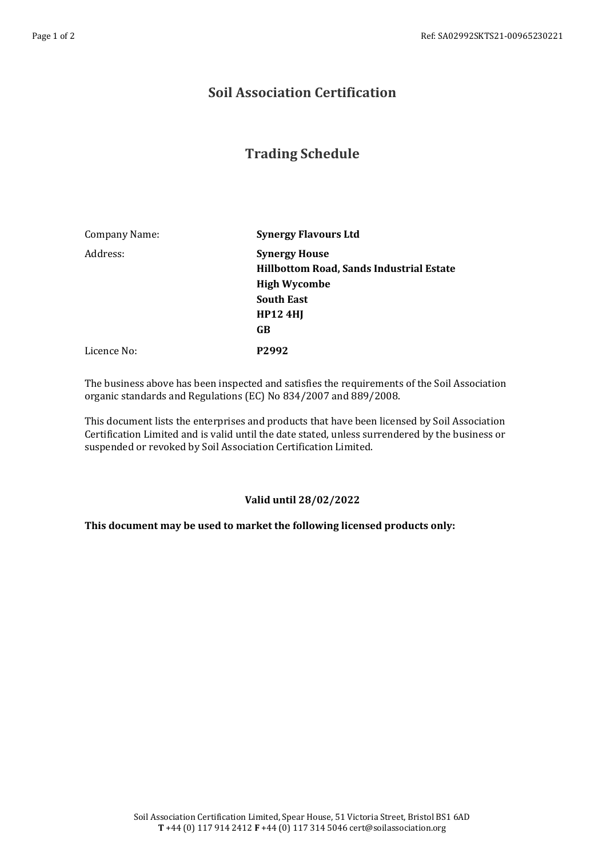## **Soil Association Certification**

## **Trading Schedule**

| Company Name: | <b>Synergy Flavours Ltd</b>                                             |
|---------------|-------------------------------------------------------------------------|
| Address:      | <b>Synergy House</b><br><b>Hillbottom Road, Sands Industrial Estate</b> |
|               | <b>High Wycombe</b>                                                     |
|               | <b>South East</b>                                                       |
|               | HP124H                                                                  |
|               | GB                                                                      |
| Licence No:   | P <sub>2992</sub>                                                       |

The business above has been inspected and satisfies the requirements of the Soil Association organic standards and Regulations (EC) No 834/2007 and 889/2008.

This document lists the enterprises and products that have been licensed by Soil Association Certification Limited and is valid until the date stated, unless surrendered by the business or suspended or revoked by Soil Association Certification Limited.

## **Valid until 28/02/2022**

## **This document may be used to market the following licensed products only:**